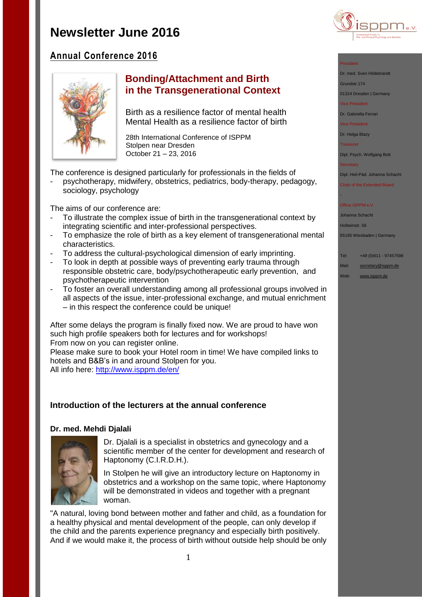

# **Annual Conference 2016**



# **Bonding/Attachment and Birth in the Transgenerational Context**

Birth as a resilience factor of mental health Mental Health as a resilience factor of birth

28th International Conference of ISPPM Stolpen near Dresden October 21 – 23, 2016

The conference is designed particularly for professionals in the fields of

psychotherapy, midwifery, obstetrics, pediatrics, body-therapy, pedagogy, sociology, psychology

The aims of our conference are:

- To illustrate the complex issue of birth in the transgenerational context by integrating scientific and inter-professional perspectives.
- To emphasize the role of birth as a key element of transgenerational mental characteristics.
- To address the cultural-psychological dimension of early imprinting.
- To look in depth at possible ways of preventing early trauma through responsible obstetric care, body/psychotherapeutic early prevention, and psychotherapeutic intervention
- To foster an overall understanding among all professional groups involved in all aspects of the issue, inter-professional exchange, and mutual enrichment – in this respect the conference could be unique!

After some delays the program is finally fixed now. We are proud to have won such high profile speakers both for lectures and for workshops! From now on you can register online.

Please make sure to book your Hotel room in time! We have compiled links to hotels and B&B's in and around Stolpen for you.

All info here:<http://www.isppm.de/en/>

## **Introduction of the lecturers at the annual conference**

### **Dr. med. Mehdi Djalali**



Dr. Djalali is a specialist in obstetrics and gynecology and a scientific member of the center for development and research of Haptonomy (C.I.R.D.H.).

In Stolpen he will give an introductory lecture on Haptonomy in obstetrics and a workshop on the same topic, where Haptonomy will be demonstrated in videos and together with a pregnant woman.

"A natural, loving bond between mother and father and child, as a foundation for a healthy physical and mental development of the people, can only develop if the child and the parents experience pregnancy and especially birth positively. And if we would make it, the process of birth without outside help should be only



Dr. med. Sven Hildebrandt

Grundstr.174

01324 Dresden | Germany

Vice President

Dr. Gabriella Ferrari

Vice President

Dr. Helga Blazy

Treasurer

Dipl. Psych. Wolfgang Bott

**Secretary** 

-

Dipl. Heil-Päd. Johanna Schacht

Chair of the Extended Board

#### Office ISPPM e.V

Johanna Schacht

Holbeinstr. 56

65195 Wiesbaden | Germany

Tel: +49 (0)611 - 97457598

Mail: [secretary@isppm.de](mailto:secretary@isppm.de)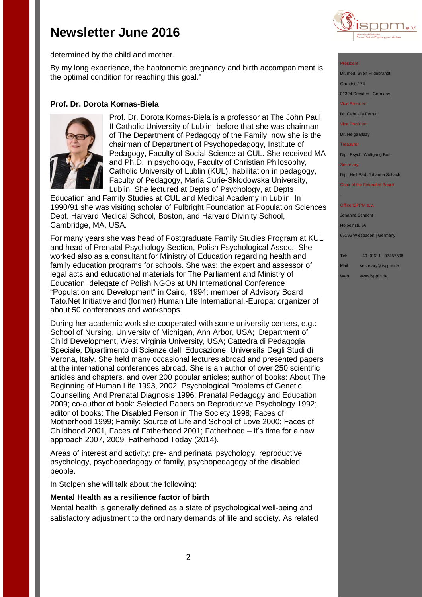

determined by the child and mother.

By my long experience, the haptonomic pregnancy and birth accompaniment is the optimal condition for reaching this goal."

## **Prof. Dr. Dorota Kornas-Biela**



Prof. Dr. Dorota Kornas-Biela is a professor at The John Paul II Catholic University of Lublin, before that she was chairman of The Department of Pedagogy of the Family, now she is the chairman of Department of Psychopedagogy, Institute of Pedagogy, Faculty of Social Science at CUL. She received MA and Ph.D. in psychology, Faculty of Christian Philosophy, Catholic University of Lublin (KUL), habilitation in pedagogy, Faculty of Pedagogy, Maria Curie-Skłodowska University, Lublin. She lectured at Depts of Psychology, at Depts

Education and Family Studies at CUL and Medical Academy in Lublin. In 1990/91 she was visiting scholar of Fulbright Foundation at Population Sciences Dept. Harvard Medical School, Boston, and Harvard Divinity School, Cambridge, MA, USA.

For many years she was head of Postgraduate Family Studies Program at KUL and head of Prenatal Psychology Section, Polish Psychological Assoc.; She worked also as a consultant for Ministry of Education regarding health and family education programs for schools. She was: the expert and assessor of legal acts and educational materials for The Parliament and Ministry of Education; delegate of Polish NGOs at UN International Conference "Population and Development" in Cairo, 1994; member of Advisory Board Tato.Net Initiative and (former) Human Life International.-Europa; organizer of about 50 conferences and workshops.

During her academic work she cooperated with some university centers, e.g.: School of Nursing, University of Michigan, Ann Arbor, USA; Department of Child Development, West Virginia University, USA; Cattedra di Pedagogia Speciale, Dipartimento di Scienze dell' Educazione, Universita Degli Studi di Verona, Italy. She held many occasional lectures abroad and presented papers at the international conferences abroad. She is an author of over 250 scientific articles and chapters, and over 200 popular articles; author of books: About The Beginning of Human Life 1993, 2002; Psychological Problems of Genetic Counselling And Prenatal Diagnosis 1996; Prenatal Pedagogy and Education 2009; co-author of book: Selected Papers on Reproductive Psychology 1992; editor of books: The Disabled Person in The Society 1998; Faces of Motherhood 1999; Family: Source of Life and School of Love 2000; Faces of Childhood 2001, Faces of Fatherhood 2001; Fatherhood – it's time for a new approach 2007, 2009; Fatherhood Today (2014).

Areas of interest and activity: pre- and perinatal psychology, reproductive psychology, psychopedagogy of family, psychopedagogy of the disabled people.

In Stolpen she will talk about the following:

### **Mental Health as a resilience factor of birth**

Mental health is generally defined as a state of psychological well-being and satisfactory adjustment to the ordinary demands of life and society. As related President

Dr. med. Sven Hildebran Grundstr.174

01324 Dresden | Germany

Vice President

Dr. Gabriella Ferrari

Vice President

Dr. Helga Blazy

Treasurer

Dipl. Psych. Wolfgang Bott

-

Dipl. Heil-Päd. Johanna Schacht

Chair of the Extended Board

#### Office ISPPM e.V

Johanna Schacht Holbeinstr. 56 65195 Wiesbaden | Germany

Tel: +49 (0)611 - 97457598

Mail: [secretary@isppm.de](mailto:secretary@isppm.de)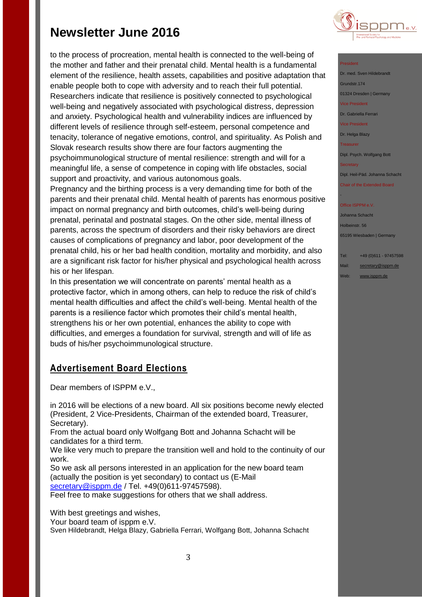to the process of procreation, mental health is connected to the well-being of the mother and father and their prenatal child. Mental health is a fundamental element of the resilience, health assets, capabilities and positive adaptation that enable people both to cope with adversity and to reach their full potential. Researchers indicate that resilience is positively connected to psychological well-being and negatively associated with psychological distress, depression and anxiety. Psychological health and vulnerability indices are influenced by different levels of resilience through self-esteem, personal competence and tenacity, tolerance of negative emotions, control, and spirituality. As Polish and Slovak research results show there are four factors augmenting the psychoimmunological structure of mental resilience: strength and will for a meaningful life, a sense of competence in coping with life obstacles, social support and proactivity, and various autonomous goals.

Pregnancy and the birthing process is a very demanding time for both of the parents and their prenatal child. Mental health of parents has enormous positive impact on normal pregnancy and birth outcomes, child's well-being during prenatal, perinatal and postnatal stages. On the other side, mental illness of parents, across the spectrum of disorders and their risky behaviors are direct causes of complications of pregnancy and labor, poor development of the prenatal child, his or her bad health condition, mortality and morbidity, and also are a significant risk factor for his/her physical and psychological health across his or her lifespan.

In this presentation we will concentrate on parents' mental health as a protective factor, which in among others, can help to reduce the risk of child's mental health difficulties and affect the child's well-being. Mental health of the parents is a resilience factor which promotes their child's mental health, strengthens his or her own potential, enhances the ability to cope with difficulties, and emerges a foundation for survival, strength and will of life as buds of his/her psychoimmunological structure.

# **Advertisement Board Elections**

Dear members of ISPPM e.V.,

in 2016 will be elections of a new board. All six positions become newly elected (President, 2 Vice-Presidents, Chairman of the extended board, Treasurer, Secretary).

From the actual board only Wolfgang Bott and Johanna Schacht will be candidates for a third term.

We like very much to prepare the transition well and hold to the continuity of our work.

So we ask all persons interested in an application for the new board team (actually the position is yet secondary) to contact us (E-Mail [secretary@isppm.de](mailto:secretary@isppm.de) / Tel. +49(0)611-97457598).

Feel free to make suggestions for others that we shall address.

With best greetings and wishes,

Your board team of isppm e.V.

Sven Hildebrandt, Helga Blazy, Gabriella Ferrari, Wolfgang Bott, Johanna Schacht



### President

Dr. med. Sven Hildebrandt Grundstr.174 01324 Dresden | Germany Vice President

Dr. Gabriella Ferrari

Vice President

Dr. Helga Blazy

**Treasurer** 

Dipl. Psych. Wolfgang Bott

**Secretary** 

-

Dipl. Heil-Päd. Johanna Schacht

Chair of the Extended Board

### Office ISPPM e.V

Johanna Schacht Holbeinstr. 56 65195 Wiesbaden | Germany

Tel: +49 (0)611 - 97457598

Mail: [secretary@isppm.de](mailto:secretary@isppm.de)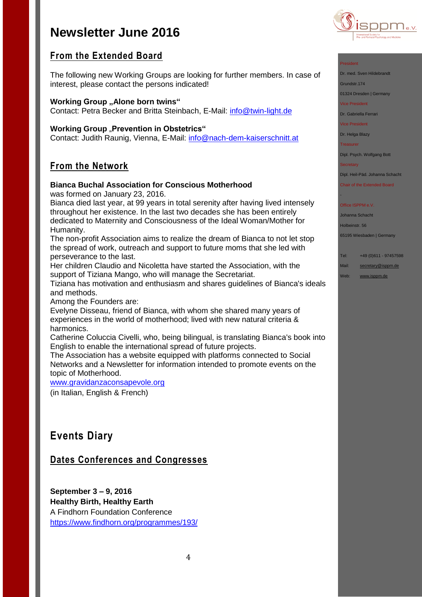

# **From the Extended Board**

The following new Working Groups are looking for further members. In case of interest, please contact the persons indicated!

## **Working Group "Alone born twins"**

Contact: Petra Becker and Britta Steinbach, E-Mail: [info@twin-light.de](mailto:info@twin-light.de)

### **Working Group "Prevention in Obstetrics"**

Contact: Judith Raunig, Vienna, E-Mail: [info@nach-dem-kaiserschnitt.at](mailto:info@nach-dem-kaiserschnitt.at)

## **From the Network**

## **Bianca Buchal Association for Conscious Motherhood**

was formed on January 23, 2016.

Bianca died last year, at 99 years in total serenity after having lived intensely throughout her existence. In the last two decades she has been entirely dedicated to Maternity and Consciousness of the Ideal Woman/Mother for Humanity.

The non-profit Association aims to realize the dream of Bianca to not let stop the spread of work, outreach and support to future moms that she led with perseverance to the last.

Her children Claudio and Nicoletta have started the Association, with the support of Tiziana Mango, who will manage the Secretariat.

Tiziana has motivation and enthusiasm and shares guidelines of Bianca's ideals and methods.

Among the Founders are:

Evelyne Disseau, friend of Bianca, with whom she shared many years of experiences in the world of motherhood; lived with new natural criteria & harmonics.

Catherine Coluccia Civelli, who, being bilingual, is translating Bianca's book into English to enable the international spread of future projects.

The Association has a website equipped with platforms connected to Social Networks and a Newsletter for information intended to promote events on the topic of Motherhood.

[www.gravidanzaconsapevole.org](http://www.gravidanzaconsapevole.org/)

(in Italian, English & French)

# **Events Diary**

# **Dates Conferences and Congresses**

**September 3 – 9, 2016 Healthy Birth, Healthy Earth** A Findhorn Foundation Conference <https://www.findhorn.org/programmes/193/>

#### President

Dr. med. Sven Hildebrandt

Grundstr.174

01324 Dresden | Germany

Vice President

Dr. Gabriella Ferrari

Vice President

Dr. Helga Blazy

**Treasurer** 

Dipl. Psych. Wolfgang Bott

**Secretary** 

-

Dipl. Heil-Päd. Johanna Schacht

Chair of the Extended Board

### Office ISPPM e.V

Johanna Schacht

Holbeinstr. 56

65195 Wiesbaden | Germany

Tel: +49 (0)611 - 97457598

Mail: [secretary@isppm.de](mailto:secretary@isppm.de)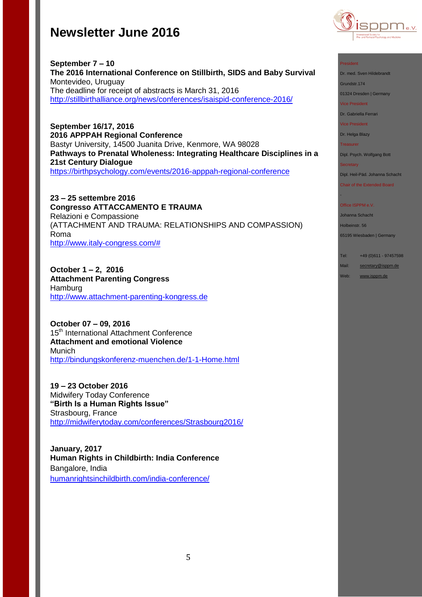

#### President

Dr. med. Sven Hildebrandt

Grundstr.174

01324 Dresden | Germany

Vice President

Dr. Gabriella Ferrari

Vice President

Dr. Helga Blazy

Treasurer

Dipl. Psych. Wolfgang Bott

**Secretary** 

-

Dipl. Heil-Päd. Johanna Schacht

Chair of the Extended Board

#### Office ISPPM e.V.

Johanna Schacht

Holbeinstr. 56

65195 Wiesbaden | Germany

Tel: +49 (0)611 - 97457598

Mail: [secretary@isppm.de](mailto:secretary@isppm.de)

Web: [www.isppm.de](http://www.isppm.de/)

**September 7 – 10 The 2016 International Conference on Stillbirth, SIDS and Baby Survival** Montevideo, Uruguay The deadline for receipt of abstracts is March 31, 2016 <http://stillbirthalliance.org/news/conferences/isaispid-conference-2016/>

**September 16/17, 2016 2016 APPPAH Regional Conference** Bastyr University, 14500 Juanita Drive, Kenmore, WA 98028 **Pathways to Prenatal Wholeness: Integrating Healthcare Disciplines in a 21st Century Dialogue** <https://birthpsychology.com/events/2016-apppah-regional-conference>

**23 – 25 settembre 2016 Congresso ATTACCAMENTO E TRAUMA** Relazioni e Compassione (ATTACHMENT AND TRAUMA: RELATIONSHIPS AND COMPASSION) Roma [http://www.italy-congress.com/#](http://www.italy-congress.com/%23)

**October 1 – 2, 2016 Attachment Parenting Congress** Hamburg [http://www.attachment-parenting-kongress.de](http://www.attachment-parenting-kongress.de/)

**October 07 – 09, 2016**  15<sup>th</sup> International Attachment Conference **Attachment and emotional Violence** Munich <http://bindungskonferenz-muenchen.de/1-1-Home.html>

**19 – 23 October 2016** Midwifery Today Conference **"Birth Is a Human Rights Issue"** Strasbourg, France <http://midwiferytoday.com/conferences/Strasbourg2016/>

**January, 2017 Human Rights in Childbirth: India Conference** Bangalore, India [humanrightsinchildbirth.com/india-conference/](http://humanrightsinchildbirth.com/india-conference/)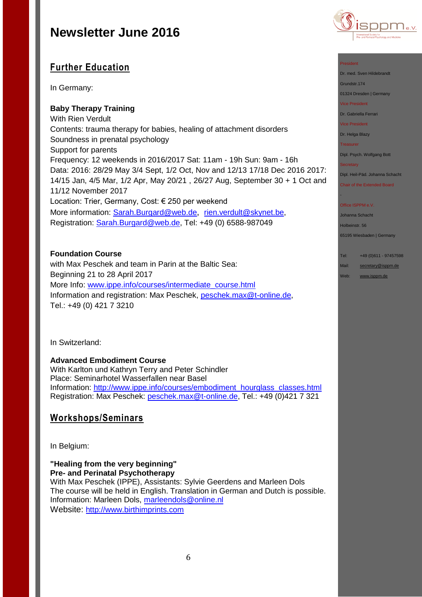

# **Further Education**

In Germany:

## **Baby Therapy Training**

With Rien Verdult Contents: trauma therapy for babies, healing of attachment disorders Soundness in prenatal psychology Support for parents Frequency: 12 weekends in 2016/2017 Sat: 11am - 19h Sun: 9am - 16h Data: 2016: 28/29 May 3/4 Sept, 1/2 Oct, Nov and 12/13 17/18 Dec 2016 2017: 14/15 Jan, 4/5 Mar, 1/2 Apr, May 20/21 , 26/27 Aug, September 30 + 1 Oct and 11/12 November 2017 Location: Trier, Germany, Cost: € 250 per weekend More information: [Sarah.Burgard@web.de](mailto:Sarah.Burgard@web.de), [rien.verdult@skynet.be,](mailto:rien.verdult@skynet.be) Registration: [Sarah.Burgard@web.de,](mailto:Sarah.Burgard@web.de) Tel: +49 (0) 6588-987049

### **Foundation Course**

with Max Peschek and team in Parin at the Baltic Sea: Beginning 21 to 28 April 2017 More Info: [www.ippe.info/courses/intermediate\\_course.html](http://www.ippe.info/courses/intermediate_course.html) Information and registration: Max Peschek, [peschek.max@t-online.de,](mailto:peschek.max@t-online.de) Tel.: +49 (0) 421 7 3210

In Switzerland:

### **Advanced Embodiment Course**

With Karlton und Kathryn Terry and Peter Schindler Place: Seminarhotel Wasserfallen near Basel Information: [http://www.ippe.info/courses/embodiment\\_hourglass\\_classes.html](http://www.ippe.info/courses/embodiment_hourglass_classes.html)  Registration: Max Peschek: [peschek.max@t-online.de,](mailto:peschek.max@t-online.de) Tel.: +49 (0)421 7 321

## **Workshops/Seminars**

In Belgium:

### **"Healing from the very beginning" Pre- and Perinatal Psychotherapy**

With Max Peschek (IPPE), Assistants: Sylvie Geerdens and Marleen Dols The course will be held in English. Translation in German and Dutch is possible. Information: Marleen Dols, [marleendols@online.nl](mailto:marleendols@online.nl) Website: [http://www.birthimprints.com](http://www.birthimprints.com/)

Dr. med. Sven Hildebrandt

Grundstr.174

01324 Dresden | Germany

Vice President

Dr. Gabriella Ferrari

Vice President

Dr. Helga Blazy

**Treasurer** 

Dipl. Psych. Wolfgang Bott

**Secretary** 

-

Dipl. Heil-Päd. Johanna Schacht

Chair of the Extended Board

#### Office ISPPM e.V.

Johanna Schacht Holbeinstr. 56

65195 Wiesbaden | Germany

Tel: +49 (0)611 - 97457598

Mail: [secretary@isppm.de](mailto:secretary@isppm.de)